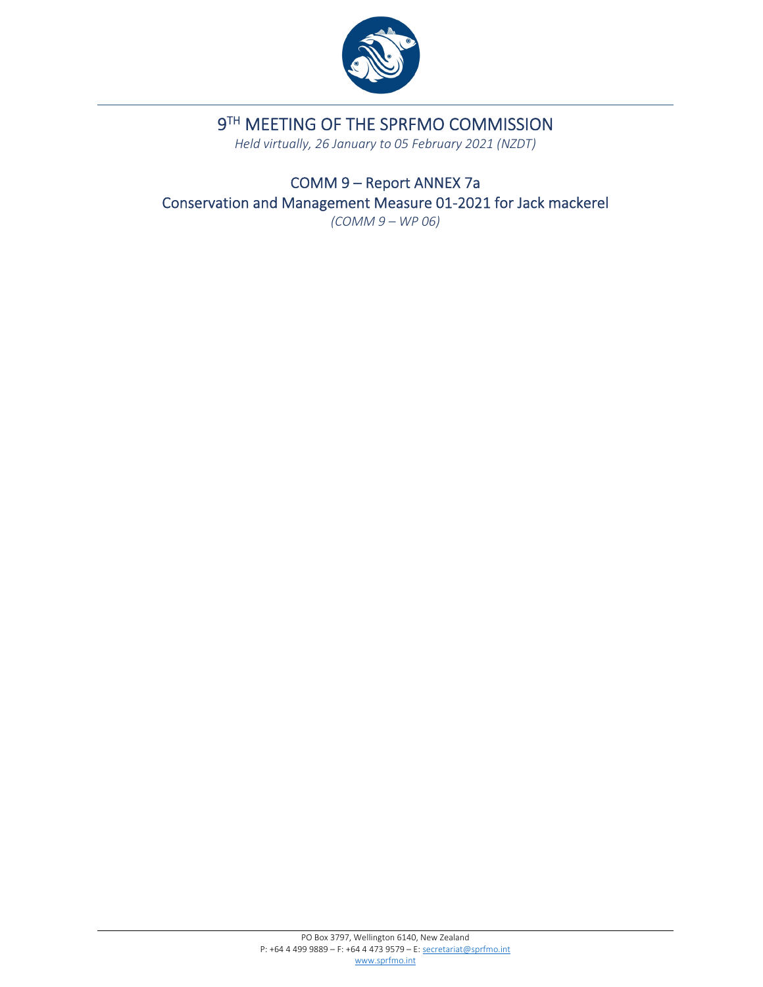

# 9TH MEETING OF THE SPRFMO COMMISSION

*Held virtually, 26 January to 05 February 2021 (NZDT)*

COMM 9 – Report ANNEX 7a Conservation and Management Measure 01‐2021 for Jack mackerel *(COMM 9 – WP 06)*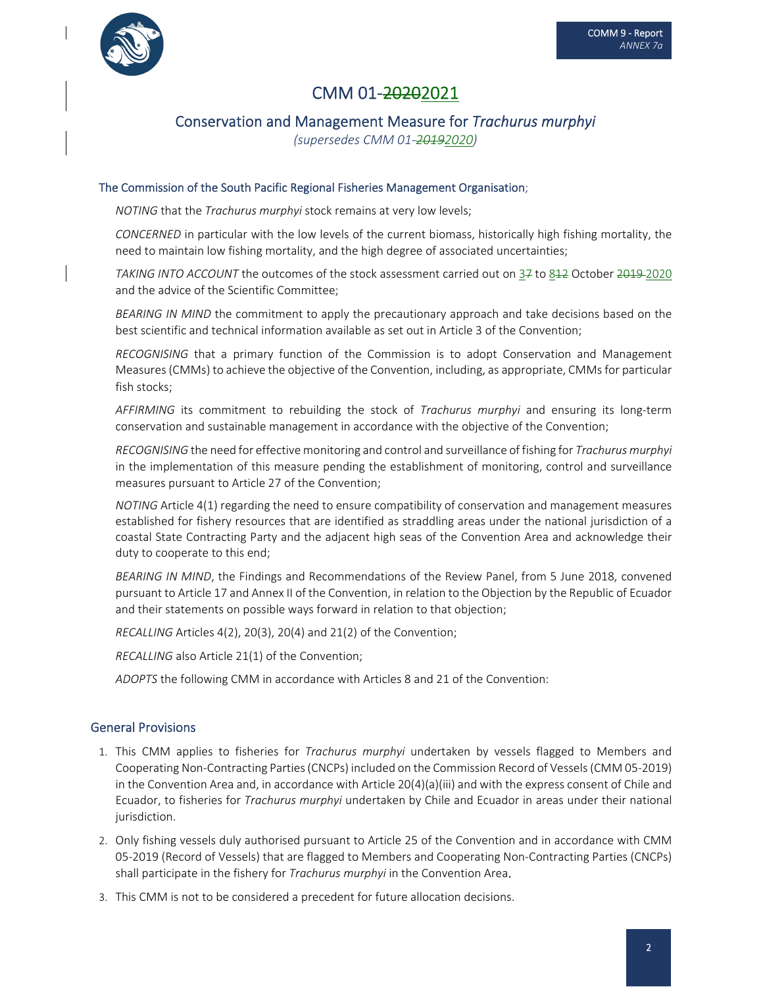

## CMM 01‐20202021

## Conservation and Management Measure for *Trachurus murphyi*

*(supersedes CMM 01‐20192020)*

#### The Commission of the South Pacific Regional Fisheries Management Organisation;

*NOTING* that the *Trachurus murphyi* stock remains at very low levels;

*CONCERNED* in particular with the low levels of the current biomass, historically high fishing mortality, the need to maintain low fishing mortality, and the high degree of associated uncertainties;

*TAKING INTO ACCOUNT* the outcomes of the stock assessment carried out on 37 to 812 October 2019 2020 and the advice of the Scientific Committee;

*BEARING IN MIND* the commitment to apply the precautionary approach and take decisions based on the best scientific and technical information available as set out in Article 3 of the Convention;

*RECOGNISING* that a primary function of the Commission is to adopt Conservation and Management Measures(CMMs) to achieve the objective of the Convention, including, as appropriate, CMMs for particular fish stocks;

*AFFIRMING* its commitment to rebuilding the stock of *Trachurus murphyi* and ensuring its long‐term conservation and sustainable management in accordance with the objective of the Convention;

*RECOGNISING* the need for effective monitoring and control and surveillance of fishing for *Trachurus murphyi* in the implementation of this measure pending the establishment of monitoring, control and surveillance measures pursuant to Article 27 of the Convention;

*NOTING* Article 4(1) regarding the need to ensure compatibility of conservation and management measures established for fishery resources that are identified as straddling areas under the national jurisdiction of a coastal State Contracting Party and the adjacent high seas of the Convention Area and acknowledge their duty to cooperate to this end;

*BEARING IN MIND*, the Findings and Recommendations of the Review Panel, from 5 June 2018, convened pursuant to Article 17 and Annex II of the Convention, in relation to the Objection by the Republic of Ecuador and their statements on possible ways forward in relation to that objection;

*RECALLING* Articles 4(2), 20(3), 20(4) and 21(2) of the Convention;

*RECALLING* also Article 21(1) of the Convention;

*ADOPTS* the following CMM in accordance with Articles 8 and 21 of the Convention:

## General Provisions

- 1. This CMM applies to fisheries for *Trachurus murphyi* undertaken by vessels flagged to Members and Cooperating Non‐Contracting Parties(CNCPs) included on the Commission Record of Vessels(CMM 05‐2019) in the Convention Area and, in accordance with Article 20(4)(a)(iii) and with the express consent of Chile and Ecuador, to fisheries for *Trachurus murphyi* undertaken by Chile and Ecuador in areas under their national jurisdiction.
- 2. Only fishing vessels duly authorised pursuant to Article 25 of the Convention and in accordance with CMM 05‐2019 (Record of Vessels) that are flagged to Members and Cooperating Non‐Contracting Parties (CNCPs) shall participate in the fishery for *Trachurus murphyi* in the Convention Area.
- 3. This CMM is not to be considered a precedent for future allocation decisions.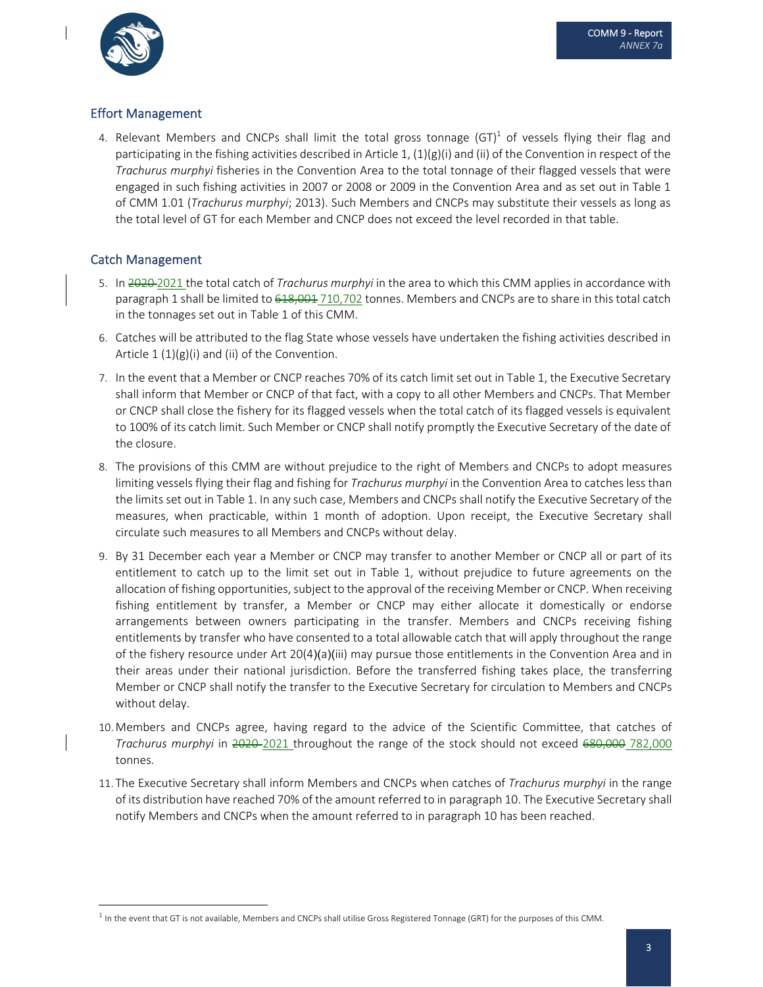

## Effort Management

4. Relevant Members and CNCPs shall limit the total gross tonnage  $(GT)^1$  of vessels flying their flag and participating in the fishing activities described in Article 1,  $(1)(g)(i)$  and (ii) of the Convention in respect of the *Trachurus murphyi* fisheries in the Convention Area to the total tonnage of their flagged vessels that were engaged in such fishing activities in 2007 or 2008 or 2009 in the Convention Area and as set out in Table 1 of CMM 1.01 (*Trachurus murphyi*; 2013). Such Members and CNCPs may substitute their vessels as long as the total level of GT for each Member and CNCP does not exceed the level recorded in that table.

## Catch Management

- 5. In 2020 2021 the total catch of *Trachurus murphyi* in the area to which this CMM applies in accordance with paragraph 1 shall be limited to <del>618,001</del> 710,702 tonnes. Members and CNCPs are to share in this total catch in the tonnages set out in Table 1 of this CMM.
- 6. Catches will be attributed to the flag State whose vessels have undertaken the fishing activities described in Article  $1 (1)(g)(i)$  and (ii) of the Convention.
- 7. In the event that a Member or CNCP reaches 70% of its catch limit set out in Table 1, the Executive Secretary shall inform that Member or CNCP of that fact, with a copy to all other Members and CNCPs. That Member or CNCP shall close the fishery for its flagged vessels when the total catch of its flagged vessels is equivalent to 100% of its catch limit. Such Member or CNCP shall notify promptly the Executive Secretary of the date of the closure.
- 8. The provisions of this CMM are without prejudice to the right of Members and CNCPs to adopt measures limiting vessels flying their flag and fishing for *Trachurus murphyi* in the Convention Area to catches less than the limits set out in Table 1. In any such case, Members and CNCPs shall notify the Executive Secretary of the measures, when practicable, within 1 month of adoption. Upon receipt, the Executive Secretary shall circulate such measures to all Members and CNCPs without delay.
- 9. By 31 December each year a Member or CNCP may transfer to another Member or CNCP all or part of its entitlement to catch up to the limit set out in Table 1, without prejudice to future agreements on the allocation of fishing opportunities, subject to the approval of the receiving Member or CNCP. When receiving fishing entitlement by transfer, a Member or CNCP may either allocate it domestically or endorse arrangements between owners participating in the transfer. Members and CNCPs receiving fishing entitlements by transfer who have consented to a total allowable catch that will apply throughout the range of the fishery resource under Art 20(4)(a)(iii) may pursue those entitlements in the Convention Area and in their areas under their national jurisdiction. Before the transferred fishing takes place, the transferring Member or CNCP shall notify the transfer to the Executive Secretary for circulation to Members and CNCPs without delay.
- 10. Members and CNCPs agree, having regard to the advice of the Scientific Committee, that catches of *Trachurus murphyi* in 2020 2021 throughout the range of the stock should not exceed 680,000 782,000 tonnes.
- 11. The Executive Secretary shall inform Members and CNCPs when catches of *Trachurus murphyi* in the range of its distribution have reached 70% of the amount referred to in paragraph 10. The Executive Secretary shall notify Members and CNCPs when the amount referred to in paragraph 10 has been reached.

<sup>&</sup>lt;sup>1</sup> In the event that GT is not available, Members and CNCPs shall utilise Gross Registered Tonnage (GRT) for the purposes of this CMM.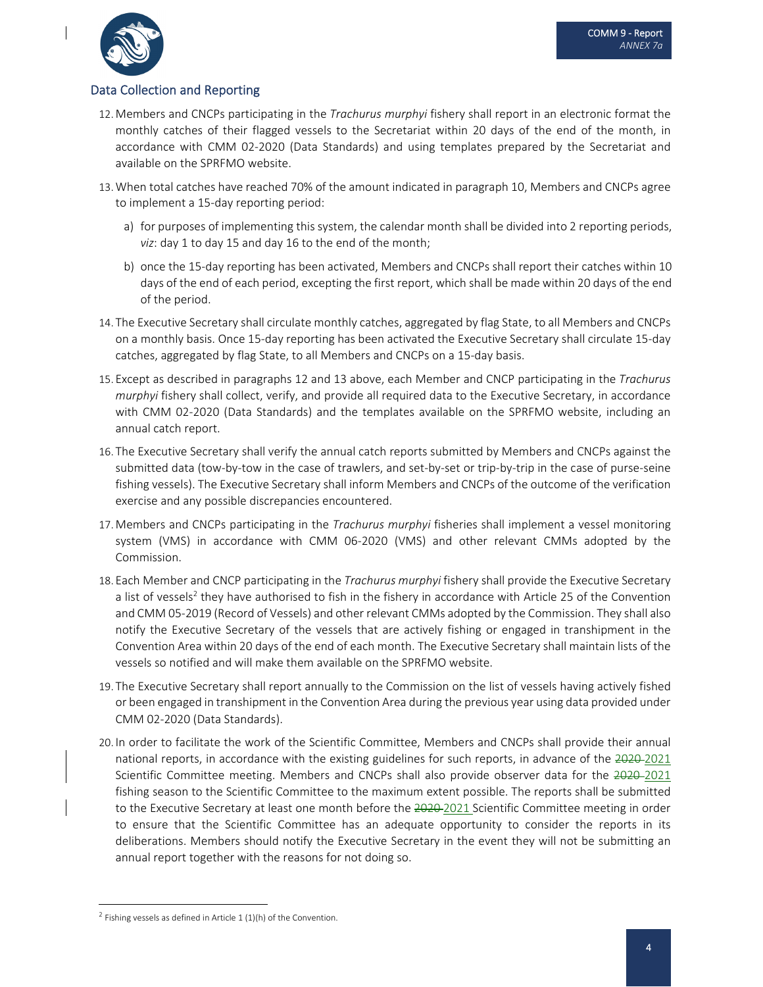



## Data Collection and Reporting

- 12. Members and CNCPs participating in the *Trachurus murphyi* fishery shall report in an electronic format the monthly catches of their flagged vessels to the Secretariat within 20 days of the end of the month, in accordance with CMM 02‐2020 (Data Standards) and using templates prepared by the Secretariat and available on the SPRFMO website.
- 13.When total catches have reached 70% of the amount indicated in paragraph 10, Members and CNCPs agree to implement a 15‐day reporting period:
	- a) for purposes of implementing this system, the calendar month shall be divided into 2 reporting periods, *viz*: day 1 to day 15 and day 16 to the end of the month;
	- b) once the 15‐day reporting has been activated, Members and CNCPs shall report their catches within 10 days of the end of each period, excepting the first report, which shall be made within 20 days of the end of the period.
- 14. The Executive Secretary shall circulate monthly catches, aggregated by flag State, to all Members and CNCPs on a monthly basis. Once 15‐day reporting has been activated the Executive Secretary shall circulate 15‐day catches, aggregated by flag State, to all Members and CNCPs on a 15‐day basis.
- 15. Except as described in paragraphs 12 and 13 above, each Member and CNCP participating in the *Trachurus murphyi* fishery shall collect, verify, and provide all required data to the Executive Secretary, in accordance with CMM 02‐2020 (Data Standards) and the templates available on the SPRFMO website, including an annual catch report.
- 16. The Executive Secretary shall verify the annual catch reports submitted by Members and CNCPs against the submitted data (tow‐by‐tow in the case of trawlers, and set‐by‐set or trip‐by‐trip in the case of purse‐seine fishing vessels). The Executive Secretary shall inform Members and CNCPs of the outcome of the verification exercise and any possible discrepancies encountered.
- 17. Members and CNCPs participating in the *Trachurus murphyi* fisheries shall implement a vessel monitoring system (VMS) in accordance with CMM 06‐2020 (VMS) and other relevant CMMs adopted by the Commission.
- 18. Each Member and CNCP participating in the *Trachurus murphyi* fishery shall provide the Executive Secretary a list of vessels<sup>2</sup> they have authorised to fish in the fishery in accordance with Article 25 of the Convention and CMM 05‐2019 (Record of Vessels) and other relevant CMMs adopted by the Commission. They shall also notify the Executive Secretary of the vessels that are actively fishing or engaged in transhipment in the Convention Area within 20 days of the end of each month. The Executive Secretary shall maintain lists of the vessels so notified and will make them available on the SPRFMO website.
- 19. The Executive Secretary shall report annually to the Commission on the list of vessels having actively fished or been engaged in transhipment in the Convention Area during the previous year using data provided under CMM 02‐2020 (Data Standards).
- 20. In order to facilitate the work of the Scientific Committee, Members and CNCPs shall provide their annual national reports, in accordance with the existing guidelines for such reports, in advance of the 2020-2021 Scientific Committee meeting. Members and CNCPs shall also provide observer data for the 2020-2021 fishing season to the Scientific Committee to the maximum extent possible. The reports shall be submitted to the Executive Secretary at least one month before the 2020-2021 Scientific Committee meeting in order to ensure that the Scientific Committee has an adequate opportunity to consider the reports in its deliberations. Members should notify the Executive Secretary in the event they will not be submitting an annual report together with the reasons for not doing so.

 $2$  Fishing vessels as defined in Article 1 (1)(h) of the Convention.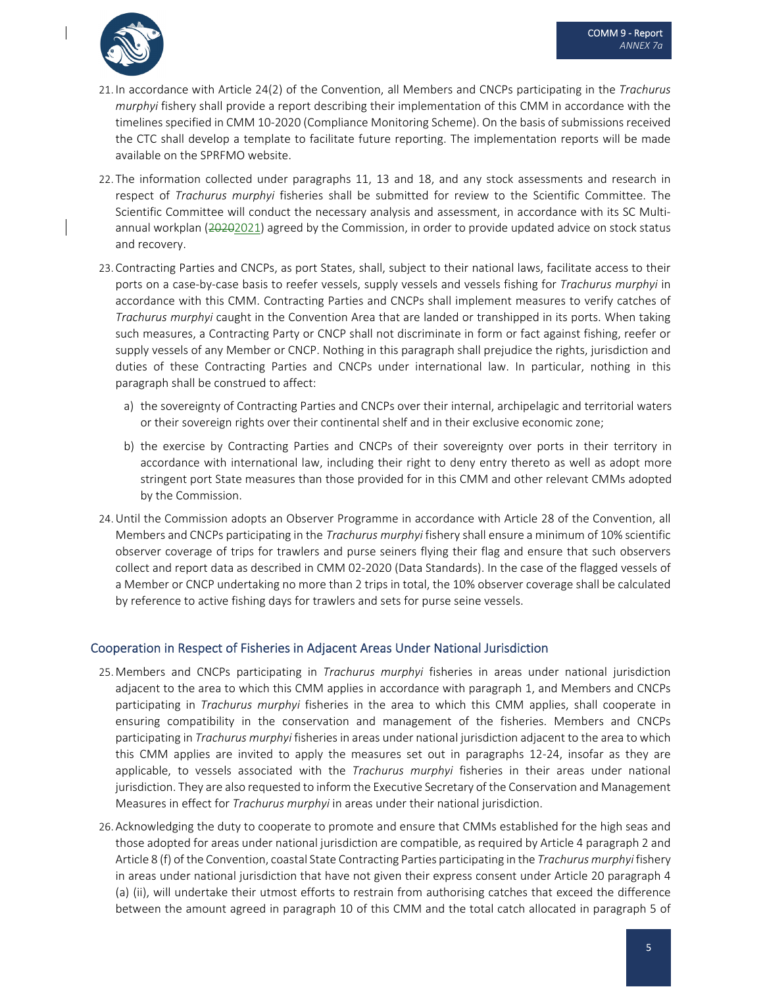

- 21. In accordance with Article 24(2) of the Convention, all Members and CNCPs participating in the *Trachurus murphyi* fishery shall provide a report describing their implementation of this CMM in accordance with the timelines specified in CMM 10‐2020 (Compliance Monitoring Scheme). On the basis of submissions received the CTC shall develop a template to facilitate future reporting. The implementation reports will be made available on the SPRFMO website.
- 22. The information collected under paragraphs 11, 13 and 18, and any stock assessments and research in respect of *Trachurus murphyi* fisheries shall be submitted for review to the Scientific Committee. The Scientific Committee will conduct the necessary analysis and assessment, in accordance with its SC Multiannual workplan (20202021) agreed by the Commission, in order to provide updated advice on stock status and recovery.
- 23. Contracting Parties and CNCPs, as port States, shall, subject to their national laws, facilitate access to their ports on a case‐by‐case basis to reefer vessels, supply vessels and vessels fishing for *Trachurus murphyi* in accordance with this CMM. Contracting Parties and CNCPs shall implement measures to verify catches of *Trachurus murphyi* caught in the Convention Area that are landed or transhipped in its ports. When taking such measures, a Contracting Party or CNCP shall not discriminate in form or fact against fishing, reefer or supply vessels of any Member or CNCP. Nothing in this paragraph shall prejudice the rights, jurisdiction and duties of these Contracting Parties and CNCPs under international law. In particular, nothing in this paragraph shall be construed to affect:
	- a) the sovereignty of Contracting Parties and CNCPs over their internal, archipelagic and territorial waters or their sovereign rights over their continental shelf and in their exclusive economic zone;
	- b) the exercise by Contracting Parties and CNCPs of their sovereignty over ports in their territory in accordance with international law, including their right to deny entry thereto as well as adopt more stringent port State measures than those provided for in this CMM and other relevant CMMs adopted by the Commission.
- 24.Until the Commission adopts an Observer Programme in accordance with Article 28 of the Convention, all Members and CNCPs participating in the *Trachurus murphyi* fishery shall ensure a minimum of 10% scientific observer coverage of trips for trawlers and purse seiners flying their flag and ensure that such observers collect and report data as described in CMM 02‐2020 (Data Standards). In the case of the flagged vessels of a Member or CNCP undertaking no more than 2 trips in total, the 10% observer coverage shall be calculated by reference to active fishing days for trawlers and sets for purse seine vessels.

## Cooperation in Respect of Fisheries in Adjacent Areas Under National Jurisdiction

- 25. Members and CNCPs participating in *Trachurus murphyi* fisheries in areas under national jurisdiction adjacent to the area to which this CMM applies in accordance with paragraph 1, and Members and CNCPs participating in *Trachurus murphyi* fisheries in the area to which this CMM applies, shall cooperate in ensuring compatibility in the conservation and management of the fisheries. Members and CNCPs participating in *Trachurus murphyi* fisheries in areas under national jurisdiction adjacent to the area to which this CMM applies are invited to apply the measures set out in paragraphs 12‐24, insofar as they are applicable, to vessels associated with the *Trachurus murphyi* fisheries in their areas under national jurisdiction. They are also requested to inform the Executive Secretary of the Conservation and Management Measures in effect for *Trachurus murphyi* in areas under their national jurisdiction.
- 26. Acknowledging the duty to cooperate to promote and ensure that CMMs established for the high seas and those adopted for areas under national jurisdiction are compatible, as required by Article 4 paragraph 2 and Article 8 (f) of the Convention, coastal State Contracting Parties participating in the *Trachurus murphyi* fishery in areas under national jurisdiction that have not given their express consent under Article 20 paragraph 4 (a) (ii), will undertake their utmost efforts to restrain from authorising catches that exceed the difference between the amount agreed in paragraph 10 of this CMM and the total catch allocated in paragraph 5 of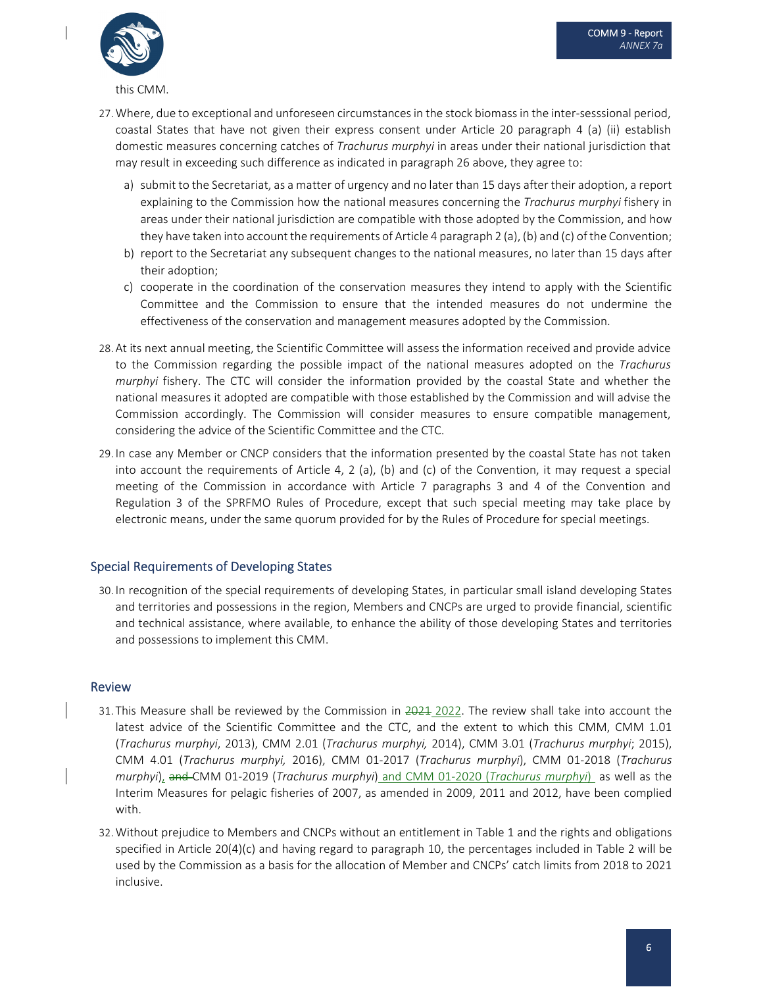

this CMM.

- 27. Where, due to exceptional and unforeseen circumstances in the stock biomass in the inter-sesssional period, coastal States that have not given their express consent under Article 20 paragraph 4 (a) (ii) establish domestic measures concerning catches of *Trachurus murphyi* in areas under their national jurisdiction that may result in exceeding such difference as indicated in paragraph 26 above, they agree to:
	- a) submit to the Secretariat, as a matter of urgency and no later than 15 days after their adoption, a report explaining to the Commission how the national measures concerning the *Trachurus murphyi* fishery in areas under their national jurisdiction are compatible with those adopted by the Commission, and how they have taken into account the requirements of Article 4 paragraph 2 (a), (b) and (c) of the Convention;
	- b) report to the Secretariat any subsequent changes to the national measures, no later than 15 days after their adoption;
	- c) cooperate in the coordination of the conservation measures they intend to apply with the Scientific Committee and the Commission to ensure that the intended measures do not undermine the effectiveness of the conservation and management measures adopted by the Commission.
- 28. At its next annual meeting, the Scientific Committee will assess the information received and provide advice to the Commission regarding the possible impact of the national measures adopted on the *Trachurus murphyi* fishery. The CTC will consider the information provided by the coastal State and whether the national measures it adopted are compatible with those established by the Commission and will advise the Commission accordingly. The Commission will consider measures to ensure compatible management, considering the advice of the Scientific Committee and the CTC.
- 29. In case any Member or CNCP considers that the information presented by the coastal State has not taken into account the requirements of Article 4, 2 (a), (b) and (c) of the Convention, it may request a special meeting of the Commission in accordance with Article 7 paragraphs 3 and 4 of the Convention and Regulation 3 of the SPRFMO Rules of Procedure, except that such special meeting may take place by electronic means, under the same quorum provided for by the Rules of Procedure for special meetings.

#### Special Requirements of Developing States

30. In recognition of the special requirements of developing States, in particular small island developing States and territories and possessions in the region, Members and CNCPs are urged to provide financial, scientific and technical assistance, where available, to enhance the ability of those developing States and territories and possessions to implement this CMM.

#### Review

- 31. This Measure shall be reviewed by the Commission in 2021 2022. The review shall take into account the latest advice of the Scientific Committee and the CTC, and the extent to which this CMM, CMM 1.01 (*Trachurus murphyi*, 2013), CMM 2.01 (*Trachurus murphyi,* 2014), CMM 3.01 (*Trachurus murphyi*; 2015), CMM 4.01 (*Trachurus murphyi,* 2016), CMM 01‐2017 (*Trachurus murphyi*), CMM 01‐2018 (*Trachurus murphyi*), and CMM 01‐2019 (*Trachurus murphyi*) and CMM 01‐2020 (*Trachurus murphyi*) as well as the Interim Measures for pelagic fisheries of 2007, as amended in 2009, 2011 and 2012, have been complied with.
- 32.Without prejudice to Members and CNCPs without an entitlement in Table 1 and the rights and obligations specified in Article 20(4)(c) and having regard to paragraph 10, the percentages included in Table 2 will be used by the Commission as a basis for the allocation of Member and CNCPs' catch limits from 2018 to 2021 inclusive.